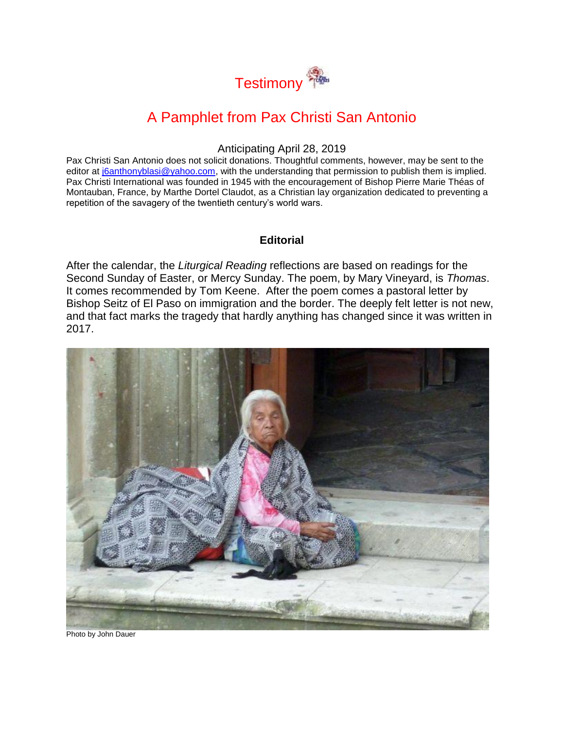

# A Pamphlet from Pax Christi San Antonio

#### Anticipating April 28, 2019

Pax Christi San Antonio does not solicit donations. Thoughtful comments, however, may be sent to the editor at [j6anthonyblasi@yahoo.com,](mailto:j6anthonyblasi@yahoo.com) with the understanding that permission to publish them is implied. Pax Christi International was founded in 1945 with the encouragement of Bishop Pierre Marie Théas of Montauban, France, by Marthe Dortel Claudot, as a Christian lay organization dedicated to preventing a repetition of the savagery of the twentieth century's world wars.

### **Editorial**

After the calendar, the *Liturgical Reading* reflections are based on readings for the Second Sunday of Easter, or Mercy Sunday. The poem, by Mary Vineyard, is *Thomas*. It comes recommended by Tom Keene. After the poem comes a pastoral letter by Bishop Seitz of El Paso on immigration and the border. The deeply felt letter is not new, and that fact marks the tragedy that hardly anything has changed since it was written in 2017.



Photo by John Dauer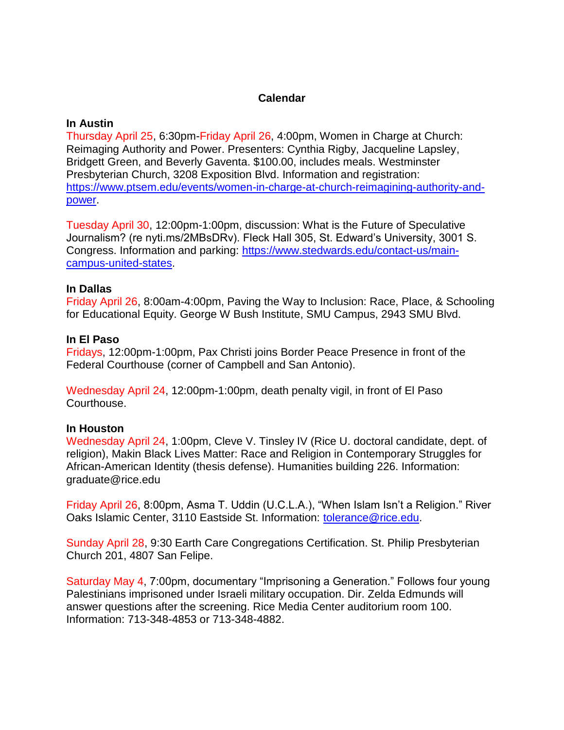# **Calendar**

### **In Austin**

Thursday April 25, 6:30pm-Friday April 26, 4:00pm, Women in Charge at Church: Reimaging Authority and Power. Presenters: Cynthia Rigby, Jacqueline Lapsley, Bridgett Green, and Beverly Gaventa. \$100.00, includes meals. Westminster Presbyterian Church, 3208 Exposition Blvd. Information and registration: [https://www.ptsem.edu/events/women-in-charge-at-church-reimagining-authority-and](https://www.ptsem.edu/events/women-in-charge-at-church-reimagining-authority-and-power)[power.](https://www.ptsem.edu/events/women-in-charge-at-church-reimagining-authority-and-power)

Tuesday April 30, 12:00pm-1:00pm, discussion: What is the Future of Speculative Journalism? (re nyti.ms/2MBsDRv). Fleck Hall 305, St. Edward's University, 3001 S. Congress. Information and parking: [https://www.stedwards.edu/contact-us/main](https://www.stedwards.edu/contact-us/main-campus-united-states)[campus-united-states.](https://www.stedwards.edu/contact-us/main-campus-united-states)

### **In Dallas**

Friday April 26, 8:00am-4:00pm, Paving the Way to Inclusion: Race, Place, & Schooling for Educational Equity. George W Bush Institute, SMU Campus, 2943 SMU Blvd.

### **In El Paso**

Fridays, 12:00pm-1:00pm, Pax Christi joins Border Peace Presence in front of the Federal Courthouse (corner of Campbell and San Antonio).

Wednesday April 24, 12:00pm-1:00pm, death penalty vigil, in front of El Paso Courthouse.

### **In Houston**

Wednesday April 24, 1:00pm, Cleve V. Tinsley IV (Rice U. doctoral candidate, dept. of religion), Makin Black Lives Matter: Race and Religion in Contemporary Struggles for African-American Identity (thesis defense). Humanities building 226. Information: graduate@rice.edu

Friday April 26, 8:00pm, Asma T. Uddin (U.C.L.A.), "When Islam Isn't a Religion." River Oaks Islamic Center, 3110 Eastside St. Information: [tolerance@rice.edu.](mailto:tolerance@rice.edu)

Sunday April 28, 9:30 Earth Care Congregations Certification. St. Philip Presbyterian Church 201, 4807 San Felipe.

Saturday May 4, 7:00pm, documentary "Imprisoning a Generation." Follows four young Palestinians imprisoned under Israeli military occupation. Dir. Zelda Edmunds will answer questions after the screening. Rice Media Center auditorium room 100. Information: 713-348-4853 or 713-348-4882.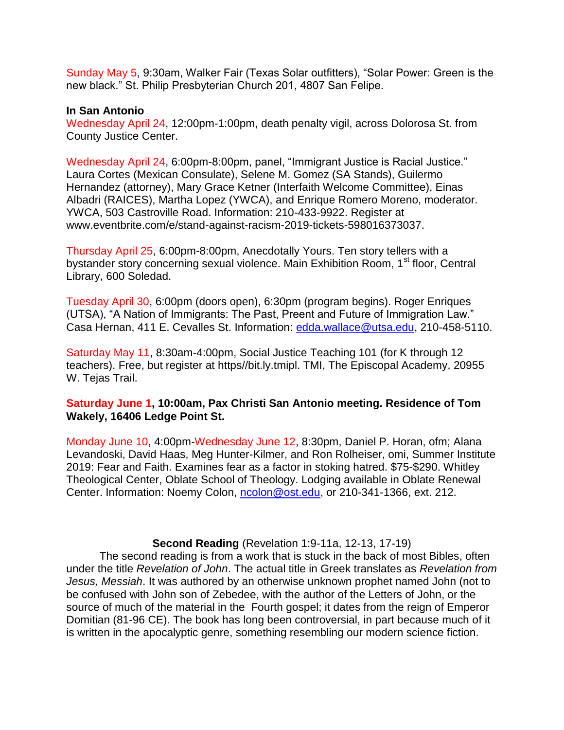Sunday May 5, 9:30am, Walker Fair (Texas Solar outfitters), "Solar Power: Green is the new black." St. Philip Presbyterian Church 201, 4807 San Felipe.

#### **In San Antonio**

Wednesday April 24, 12:00pm-1:00pm, death penalty vigil, across Dolorosa St. from County Justice Center.

Wednesday April 24, 6:00pm-8:00pm, panel, "Immigrant Justice is Racial Justice." Laura Cortes (Mexican Consulate), Selene M. Gomez (SA Stands), Guilermo Hernandez (attorney), Mary Grace Ketner (Interfaith Welcome Committee), Einas Albadri (RAICES), Martha Lopez (YWCA), and Enrique Romero Moreno, moderator. YWCA, 503 Castroville Road. Information: 210-433-9922. Register at www.eventbrite.com/e/stand-against-racism-2019-tickets-598016373037.

Thursday April 25, 6:00pm-8:00pm, Anecdotally Yours. Ten story tellers with a bystander story concerning sexual violence. Main Exhibition Room, 1<sup>st</sup> floor, Central Library, 600 Soledad.

Tuesday April 30, 6:00pm (doors open), 6:30pm (program begins). Roger Enriques (UTSA), "A Nation of Immigrants: The Past, Preent and Future of Immigration Law." Casa Hernan, 411 E. Cevalles St. Information: [edda.wallace@utsa.edu,](mailto:edda.wallace@utsa.edu) 210-458-5110.

Saturday May 11, 8:30am-4:00pm, Social Justice Teaching 101 (for K through 12 teachers). Free, but register at https//bit.ly.tmipl. TMI, The Episcopal Academy, 20955 W. Tejas Trail.

# **Saturday June 1, 10:00am, Pax Christi San Antonio meeting. Residence of Tom Wakely, 16406 Ledge Point St.**

Monday June 10, 4:00pm-Wednesday June 12, 8:30pm, Daniel P. Horan, ofm; Alana Levandoski, David Haas, Meg Hunter-Kilmer, and Ron Rolheiser, omi, Summer Institute 2019: Fear and Faith. Examines fear as a factor in stoking hatred. \$75-\$290. Whitley Theological Center, Oblate School of Theology. Lodging available in Oblate Renewal Center. Information: Noemy Colon, [ncolon@ost.edu,](mailto:ncolon@ost.edu) or 210-341-1366, ext. 212.

### **Second Reading** (Revelation 1:9-11a, 12-13, 17-19)

The second reading is from a work that is stuck in the back of most Bibles, often under the title *Revelation of John*. The actual title in Greek translates as *Revelation from Jesus, Messiah*. It was authored by an otherwise unknown prophet named John (not to be confused with John son of Zebedee, with the author of the Letters of John, or the source of much of the material in the Fourth gospel; it dates from the reign of Emperor Domitian (81-96 CE). The book has long been controversial, in part because much of it is written in the apocalyptic genre, something resembling our modern science fiction.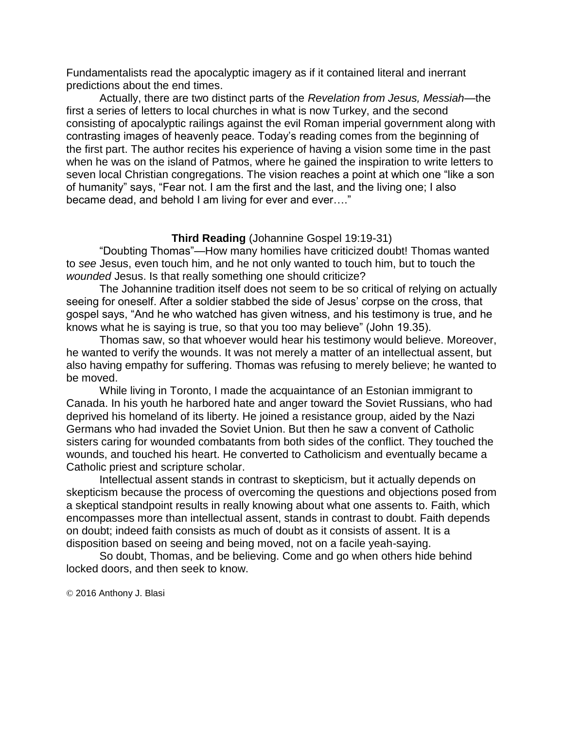Fundamentalists read the apocalyptic imagery as if it contained literal and inerrant predictions about the end times.

Actually, there are two distinct parts of the *Revelation from Jesus, Messiah*—the first a series of letters to local churches in what is now Turkey, and the second consisting of apocalyptic railings against the evil Roman imperial government along with contrasting images of heavenly peace. Today's reading comes from the beginning of the first part. The author recites his experience of having a vision some time in the past when he was on the island of Patmos, where he gained the inspiration to write letters to seven local Christian congregations. The vision reaches a point at which one "like a son of humanity" says, "Fear not. I am the first and the last, and the living one; I also became dead, and behold I am living for ever and ever…."

### **Third Reading** (Johannine Gospel 19:19-31)

"Doubting Thomas"—How many homilies have criticized doubt! Thomas wanted to *see* Jesus, even touch him, and he not only wanted to touch him, but to touch the *wounded* Jesus. Is that really something one should criticize?

The Johannine tradition itself does not seem to be so critical of relying on actually seeing for oneself. After a soldier stabbed the side of Jesus' corpse on the cross, that gospel says, "And he who watched has given witness, and his testimony is true, and he knows what he is saying is true, so that you too may believe" (John 19.35).

Thomas saw, so that whoever would hear his testimony would believe. Moreover, he wanted to verify the wounds. It was not merely a matter of an intellectual assent, but also having empathy for suffering. Thomas was refusing to merely believe; he wanted to be moved.

While living in Toronto, I made the acquaintance of an Estonian immigrant to Canada. In his youth he harbored hate and anger toward the Soviet Russians, who had deprived his homeland of its liberty. He joined a resistance group, aided by the Nazi Germans who had invaded the Soviet Union. But then he saw a convent of Catholic sisters caring for wounded combatants from both sides of the conflict. They touched the wounds, and touched his heart. He converted to Catholicism and eventually became a Catholic priest and scripture scholar.

Intellectual assent stands in contrast to skepticism, but it actually depends on skepticism because the process of overcoming the questions and objections posed from a skeptical standpoint results in really knowing about what one assents to. Faith, which encompasses more than intellectual assent, stands in contrast to doubt. Faith depends on doubt; indeed faith consists as much of doubt as it consists of assent. It is a disposition based on seeing and being moved, not on a facile yeah-saying.

So doubt, Thomas, and be believing. Come and go when others hide behind locked doors, and then seek to know.

© 2016 Anthony J. Blasi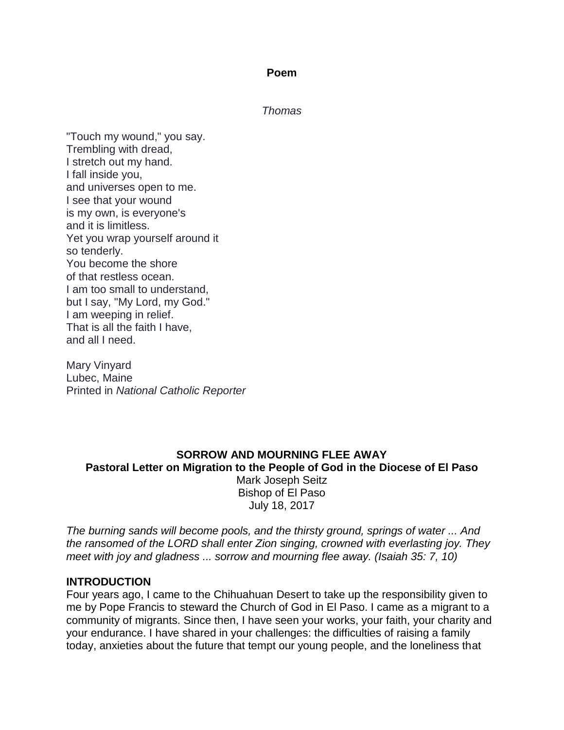### **Poem**

*Thomas*

"Touch my wound," you say. Trembling with dread, I stretch out my hand. I fall inside you, and universes open to me. I see that your wound is my own, is everyone's and it is limitless. Yet you wrap yourself around it so tenderly. You become the shore of that restless ocean. I am too small to understand, but I say, "My Lord, my God." I am weeping in relief. That is all the faith I have, and all I need.

Mary Vinyard Lubec, Maine Printed in *National Catholic Reporter*

# **SORROW AND MOURNING FLEE AWAY Pastoral Letter on Migration to the People of God in the Diocese of El Paso** Mark Joseph Seitz Bishop of El Paso July 18, 2017

*The burning sands will become pools, and the thirsty ground, springs of water ... And the ransomed of the LORD shall enter Zion singing, crowned with everlasting joy. They meet with joy and gladness ... sorrow and mourning flee away. (Isaiah 35: 7, 10)*

# **INTRODUCTION**

Four years ago, I came to the Chihuahuan Desert to take up the responsibility given to me by Pope Francis to steward the Church of God in El Paso. I came as a migrant to a community of migrants. Since then, I have seen your works, your faith, your charity and your endurance. I have shared in your challenges: the difficulties of raising a family today, anxieties about the future that tempt our young people, and the loneliness that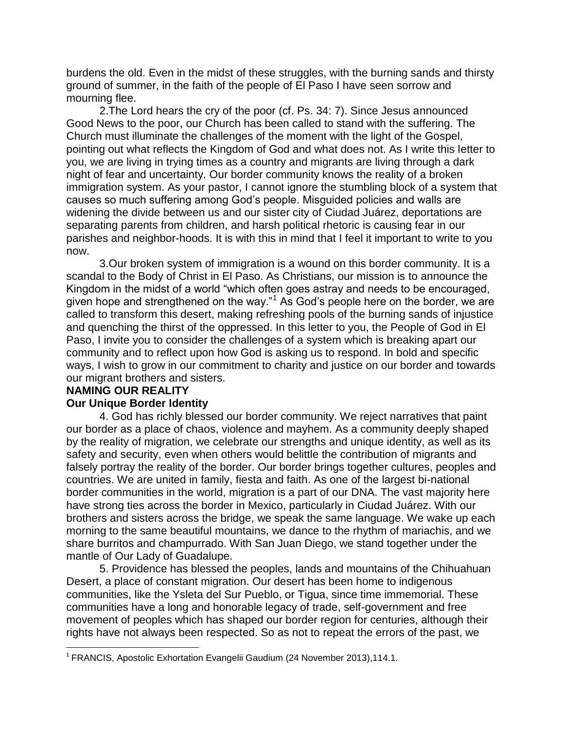burdens the old. Even in the midst of these struggles, with the burning sands and thirsty ground of summer, in the faith of the people of El Paso I have seen sorrow and mourning flee.

2.The Lord hears the cry of the poor (cf. Ps. 34: 7). Since Jesus announced Good News to the poor, our Church has been called to stand with the suffering. The Church must illuminate the challenges of the moment with the light of the Gospel, pointing out what reflects the Kingdom of God and what does not. As I write this letter to you, we are living in trying times as a country and migrants are living through a dark night of fear and uncertainty. Our border community knows the reality of a broken immigration system. As your pastor, I cannot ignore the stumbling block of a system that causes so much suffering among God's people. Misguided policies and walls are widening the divide between us and our sister city of Ciudad Juárez, deportations are separating parents from children, and harsh political rhetoric is causing fear in our parishes and neighbor-hoods. It is with this in mind that I feel it important to write to you now.

3.Our broken system of immigration is a wound on this border community. It is a scandal to the Body of Christ in El Paso. As Christians, our mission is to announce the Kingdom in the midst of a world "which often goes astray and needs to be encouraged, given hope and strengthened on the way."<sup>1</sup> As God's people here on the border, we are called to transform this desert, making refreshing pools of the burning sands of injustice and quenching the thirst of the oppressed. In this letter to you, the People of God in El Paso, I invite you to consider the challenges of a system which is breaking apart our community and to reflect upon how God is asking us to respond. In bold and specific ways, I wish to grow in our commitment to charity and justice on our border and towards our migrant brothers and sisters.

### **NAMING OUR REALITY**

 $\overline{\phantom{a}}$ 

### **Our Unique Border Identity**

4. God has richly blessed our border community. We reject narratives that paint our border as a place of chaos, violence and mayhem. As a community deeply shaped by the reality of migration, we celebrate our strengths and unique identity, as well as its safety and security, even when others would belittle the contribution of migrants and falsely portray the reality of the border. Our border brings together cultures, peoples and countries. We are united in family, fiesta and faith. As one of the largest bi-national border communities in the world, migration is a part of our DNA. The vast majority here have strong ties across the border in Mexico, particularly in Ciudad Juárez. With our brothers and sisters across the bridge, we speak the same language. We wake up each morning to the same beautiful mountains, we dance to the rhythm of mariachis, and we share burritos and champurrado. With San Juan Diego, we stand together under the mantle of Our Lady of Guadalupe.

5. Providence has blessed the peoples, lands and mountains of the Chihuahuan Desert, a place of constant migration. Our desert has been home to indigenous communities, like the Ysleta del Sur Pueblo, or Tigua, since time immemorial. These communities have a long and honorable legacy of trade, self-government and free movement of peoples which has shaped our border region for centuries, although their rights have not always been respected. So as not to repeat the errors of the past, we

<sup>&</sup>lt;sup>1</sup> FRANCIS, Apostolic Exhortation Evangelii Gaudium (24 November 2013),114.1.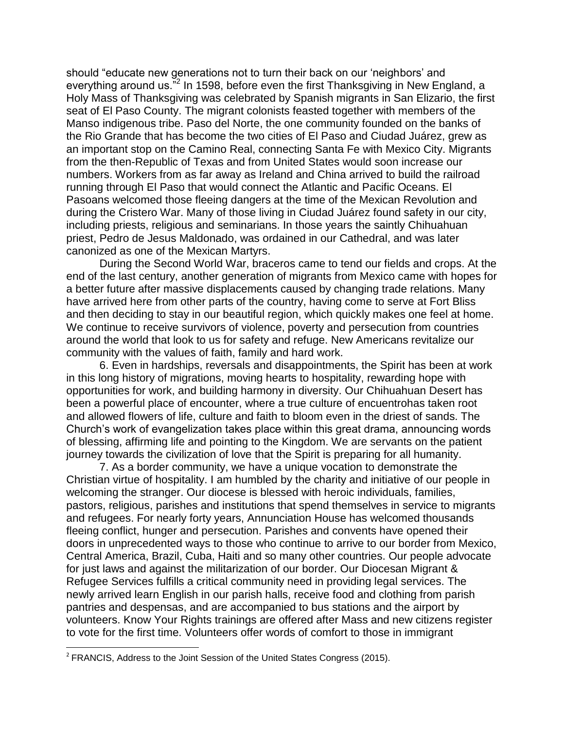should "educate new generations not to turn their back on our 'neighbors' and everything around us."<sup>2</sup> In 1598, before even the first Thanksgiving in New England, a Holy Mass of Thanksgiving was celebrated by Spanish migrants in San Elizario, the first seat of El Paso County. The migrant colonists feasted together with members of the Manso indigenous tribe. Paso del Norte, the one community founded on the banks of the Rio Grande that has become the two cities of El Paso and Ciudad Juárez, grew as an important stop on the Camino Real, connecting Santa Fe with Mexico City. Migrants from the then-Republic of Texas and from United States would soon increase our numbers. Workers from as far away as Ireland and China arrived to build the railroad running through El Paso that would connect the Atlantic and Pacific Oceans. El Pasoans welcomed those fleeing dangers at the time of the Mexican Revolution and during the Cristero War. Many of those living in Ciudad Juárez found safety in our city, including priests, religious and seminarians. In those years the saintly Chihuahuan priest, Pedro de Jesus Maldonado, was ordained in our Cathedral, and was later canonized as one of the Mexican Martyrs.

During the Second World War, braceros came to tend our fields and crops. At the end of the last century, another generation of migrants from Mexico came with hopes for a better future after massive displacements caused by changing trade relations. Many have arrived here from other parts of the country, having come to serve at Fort Bliss and then deciding to stay in our beautiful region, which quickly makes one feel at home. We continue to receive survivors of violence, poverty and persecution from countries around the world that look to us for safety and refuge. New Americans revitalize our community with the values of faith, family and hard work.

6. Even in hardships, reversals and disappointments, the Spirit has been at work in this long history of migrations, moving hearts to hospitality, rewarding hope with opportunities for work, and building harmony in diversity. Our Chihuahuan Desert has been a powerful place of encounter, where a true culture of encuentrohas taken root and allowed flowers of life, culture and faith to bloom even in the driest of sands. The Church's work of evangelization takes place within this great drama, announcing words of blessing, affirming life and pointing to the Kingdom. We are servants on the patient journey towards the civilization of love that the Spirit is preparing for all humanity.

7. As a border community, we have a unique vocation to demonstrate the Christian virtue of hospitality. I am humbled by the charity and initiative of our people in welcoming the stranger. Our diocese is blessed with heroic individuals, families, pastors, religious, parishes and institutions that spend themselves in service to migrants and refugees. For nearly forty years, Annunciation House has welcomed thousands fleeing conflict, hunger and persecution. Parishes and convents have opened their doors in unprecedented ways to those who continue to arrive to our border from Mexico, Central America, Brazil, Cuba, Haiti and so many other countries. Our people advocate for just laws and against the militarization of our border. Our Diocesan Migrant & Refugee Services fulfills a critical community need in providing legal services. The newly arrived learn English in our parish halls, receive food and clothing from parish pantries and despensas, and are accompanied to bus stations and the airport by volunteers. Know Your Rights trainings are offered after Mass and new citizens register to vote for the first time. Volunteers offer words of comfort to those in immigrant

 $\overline{\phantom{a}}$ 

 $2$  FRANCIS, Address to the Joint Session of the United States Congress (2015).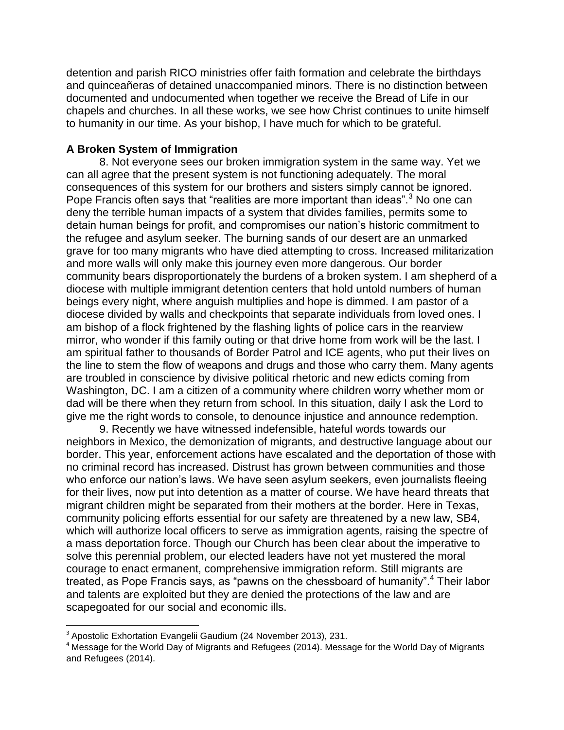detention and parish RICO ministries offer faith formation and celebrate the birthdays and quinceañeras of detained unaccompanied minors. There is no distinction between documented and undocumented when together we receive the Bread of Life in our chapels and churches. In all these works, we see how Christ continues to unite himself to humanity in our time. As your bishop, I have much for which to be grateful.

### **A Broken System of Immigration**

8. Not everyone sees our broken immigration system in the same way. Yet we can all agree that the present system is not functioning adequately. The moral consequences of this system for our brothers and sisters simply cannot be ignored. Pope Francis often says that "realities are more important than ideas".<sup>3</sup> No one can deny the terrible human impacts of a system that divides families, permits some to detain human beings for profit, and compromises our nation's historic commitment to the refugee and asylum seeker. The burning sands of our desert are an unmarked grave for too many migrants who have died attempting to cross. Increased militarization and more walls will only make this journey even more dangerous. Our border community bears disproportionately the burdens of a broken system. I am shepherd of a diocese with multiple immigrant detention centers that hold untold numbers of human beings every night, where anguish multiplies and hope is dimmed. I am pastor of a diocese divided by walls and checkpoints that separate individuals from loved ones. I am bishop of a flock frightened by the flashing lights of police cars in the rearview mirror, who wonder if this family outing or that drive home from work will be the last. I am spiritual father to thousands of Border Patrol and ICE agents, who put their lives on the line to stem the flow of weapons and drugs and those who carry them. Many agents are troubled in conscience by divisive political rhetoric and new edicts coming from Washington, DC. I am a citizen of a community where children worry whether mom or dad will be there when they return from school. In this situation, daily I ask the Lord to give me the right words to console, to denounce injustice and announce redemption.

9. Recently we have witnessed indefensible, hateful words towards our neighbors in Mexico, the demonization of migrants, and destructive language about our border. This year, enforcement actions have escalated and the deportation of those with no criminal record has increased. Distrust has grown between communities and those who enforce our nation's laws. We have seen asylum seekers, even journalists fleeing for their lives, now put into detention as a matter of course. We have heard threats that migrant children might be separated from their mothers at the border. Here in Texas, community policing efforts essential for our safety are threatened by a new law, SB4, which will authorize local officers to serve as immigration agents, raising the spectre of a mass deportation force. Though our Church has been clear about the imperative to solve this perennial problem, our elected leaders have not yet mustered the moral courage to enact ermanent, comprehensive immigration reform. Still migrants are treated, as Pope Francis says, as "pawns on the chessboard of humanity".<sup>4</sup> Their labor and talents are exploited but they are denied the protections of the law and are scapegoated for our social and economic ills.

 $\overline{\phantom{a}}$ 

<sup>&</sup>lt;sup>3</sup> Apostolic Exhortation Evangelii Gaudium (24 November 2013), 231.

 $4$  Message for the World Day of Migrants and Refugees (2014). Message for the World Day of Migrants and Refugees (2014).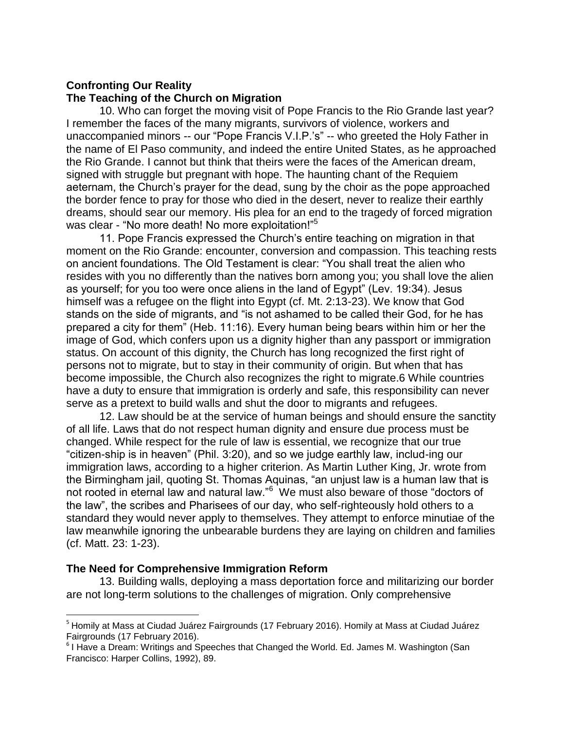### **Confronting Our Reality The Teaching of the Church on Migration**

10. Who can forget the moving visit of Pope Francis to the Rio Grande last year? I remember the faces of the many migrants, survivors of violence, workers and unaccompanied minors -- our "Pope Francis V.I.P.'s" -- who greeted the Holy Father in the name of El Paso community, and indeed the entire United States, as he approached the Rio Grande. I cannot but think that theirs were the faces of the American dream, signed with struggle but pregnant with hope. The haunting chant of the Requiem aeternam, the Church's prayer for the dead, sung by the choir as the pope approached the border fence to pray for those who died in the desert, never to realize their earthly dreams, should sear our memory. His plea for an end to the tragedy of forced migration was clear - "No more death! No more exploitation!"<sup>5</sup>

11. Pope Francis expressed the Church's entire teaching on migration in that moment on the Rio Grande: encounter, conversion and compassion. This teaching rests on ancient foundations. The Old Testament is clear: "You shall treat the alien who resides with you no differently than the natives born among you; you shall love the alien as yourself; for you too were once aliens in the land of Egypt" (Lev. 19:34). Jesus himself was a refugee on the flight into Egypt (cf. Mt. 2:13-23). We know that God stands on the side of migrants, and "is not ashamed to be called their God, for he has prepared a city for them" (Heb. 11:16). Every human being bears within him or her the image of God, which confers upon us a dignity higher than any passport or immigration status. On account of this dignity, the Church has long recognized the first right of persons not to migrate, but to stay in their community of origin. But when that has become impossible, the Church also recognizes the right to migrate.6 While countries have a duty to ensure that immigration is orderly and safe, this responsibility can never serve as a pretext to build walls and shut the door to migrants and refugees.

12. Law should be at the service of human beings and should ensure the sanctity of all life. Laws that do not respect human dignity and ensure due process must be changed. While respect for the rule of law is essential, we recognize that our true "citizen-ship is in heaven" (Phil. 3:20), and so we judge earthly law, includ-ing our immigration laws, according to a higher criterion. As Martin Luther King, Jr. wrote from the Birmingham jail, quoting St. Thomas Aquinas, "an unjust law is a human law that is not rooted in eternal law and natural law."<sup>6</sup> We must also beware of those "doctors of the law", the scribes and Pharisees of our day, who self-righteously hold others to a standard they would never apply to themselves. They attempt to enforce minutiae of the law meanwhile ignoring the unbearable burdens they are laying on children and families (cf. Matt. 23: 1-23).

# **The Need for Comprehensive Immigration Reform**

 $\overline{\phantom{a}}$ 

13. Building walls, deploying a mass deportation force and militarizing our border are not long-term solutions to the challenges of migration. Only comprehensive

<sup>&</sup>lt;sup>5</sup> Homily at Mass at Ciudad Juárez Fairgrounds (17 February 2016). Homily at Mass at Ciudad Juárez Fairgrounds (17 February 2016).

<sup>&</sup>lt;sup>6</sup> I Have a Dream: Writings and Speeches that Changed the World. Ed. James M. Washington (San Francisco: Harper Collins, 1992), 89.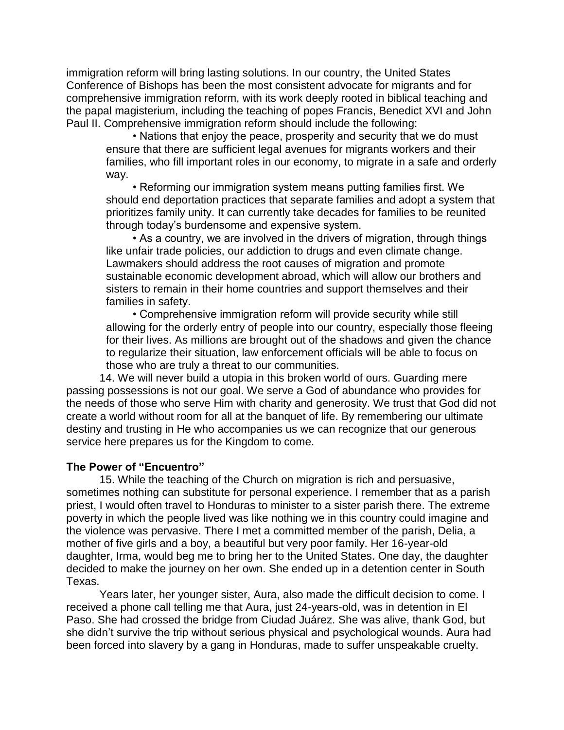immigration reform will bring lasting solutions. In our country, the United States Conference of Bishops has been the most consistent advocate for migrants and for comprehensive immigration reform, with its work deeply rooted in biblical teaching and the papal magisterium, including the teaching of popes Francis, Benedict XVI and John Paul II. Comprehensive immigration reform should include the following:

• Nations that enjoy the peace, prosperity and security that we do must ensure that there are sufficient legal avenues for migrants workers and their families, who fill important roles in our economy, to migrate in a safe and orderly way.

• Reforming our immigration system means putting families first. We should end deportation practices that separate families and adopt a system that prioritizes family unity. It can currently take decades for families to be reunited through today's burdensome and expensive system.

• As a country, we are involved in the drivers of migration, through things like unfair trade policies, our addiction to drugs and even climate change. Lawmakers should address the root causes of migration and promote sustainable economic development abroad, which will allow our brothers and sisters to remain in their home countries and support themselves and their families in safety.

• Comprehensive immigration reform will provide security while still allowing for the orderly entry of people into our country, especially those fleeing for their lives. As millions are brought out of the shadows and given the chance to regularize their situation, law enforcement officials will be able to focus on those who are truly a threat to our communities.

14. We will never build a utopia in this broken world of ours. Guarding mere passing possessions is not our goal. We serve a God of abundance who provides for the needs of those who serve Him with charity and generosity. We trust that God did not create a world without room for all at the banquet of life. By remembering our ultimate destiny and trusting in He who accompanies us we can recognize that our generous service here prepares us for the Kingdom to come.

# **The Power of "Encuentro"**

15. While the teaching of the Church on migration is rich and persuasive, sometimes nothing can substitute for personal experience. I remember that as a parish priest, I would often travel to Honduras to minister to a sister parish there. The extreme poverty in which the people lived was like nothing we in this country could imagine and the violence was pervasive. There I met a committed member of the parish, Delia, a mother of five girls and a boy, a beautiful but very poor family. Her 16-year-old daughter, Irma, would beg me to bring her to the United States. One day, the daughter decided to make the journey on her own. She ended up in a detention center in South Texas.

Years later, her younger sister, Aura, also made the difficult decision to come. I received a phone call telling me that Aura, just 24-years-old, was in detention in El Paso. She had crossed the bridge from Ciudad Juárez. She was alive, thank God, but she didn't survive the trip without serious physical and psychological wounds. Aura had been forced into slavery by a gang in Honduras, made to suffer unspeakable cruelty.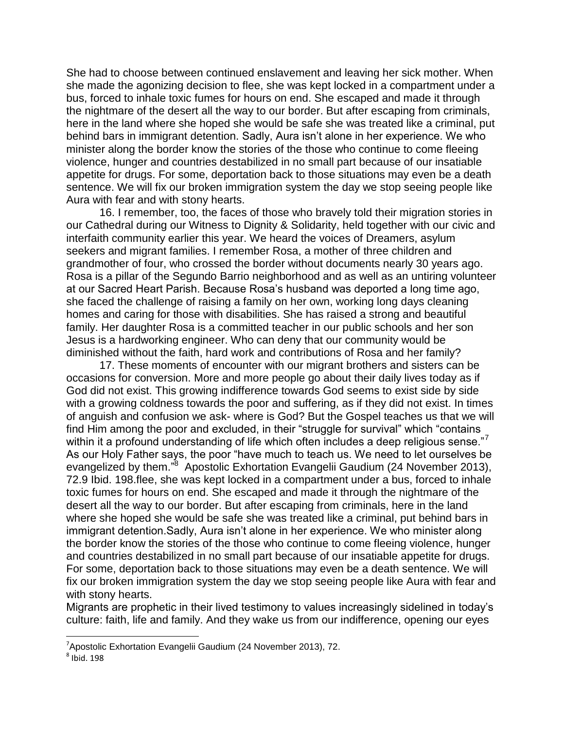She had to choose between continued enslavement and leaving her sick mother. When she made the agonizing decision to flee, she was kept locked in a compartment under a bus, forced to inhale toxic fumes for hours on end. She escaped and made it through the nightmare of the desert all the way to our border. But after escaping from criminals, here in the land where she hoped she would be safe she was treated like a criminal, put behind bars in immigrant detention. Sadly, Aura isn't alone in her experience. We who minister along the border know the stories of the those who continue to come fleeing violence, hunger and countries destabilized in no small part because of our insatiable appetite for drugs. For some, deportation back to those situations may even be a death sentence. We will fix our broken immigration system the day we stop seeing people like Aura with fear and with stony hearts.

16. I remember, too, the faces of those who bravely told their migration stories in our Cathedral during our Witness to Dignity & Solidarity, held together with our civic and interfaith community earlier this year. We heard the voices of Dreamers, asylum seekers and migrant families. I remember Rosa, a mother of three children and grandmother of four, who crossed the border without documents nearly 30 years ago. Rosa is a pillar of the Segundo Barrio neighborhood and as well as an untiring volunteer at our Sacred Heart Parish. Because Rosa's husband was deported a long time ago, she faced the challenge of raising a family on her own, working long days cleaning homes and caring for those with disabilities. She has raised a strong and beautiful family. Her daughter Rosa is a committed teacher in our public schools and her son Jesus is a hardworking engineer. Who can deny that our community would be diminished without the faith, hard work and contributions of Rosa and her family?

17. These moments of encounter with our migrant brothers and sisters can be occasions for conversion. More and more people go about their daily lives today as if God did not exist. This growing indifference towards God seems to exist side by side with a growing coldness towards the poor and suffering, as if they did not exist. In times of anguish and confusion we ask- where is God? But the Gospel teaches us that we will find Him among the poor and excluded, in their "struggle for survival" which "contains within it a profound understanding of life which often includes a deep religious sense."<sup>7</sup> As our Holy Father says, the poor "have much to teach us. We need to let ourselves be evangelized by them."<sup>8</sup> Apostolic Exhortation Evangelii Gaudium (24 November 2013), 72.9 Ibid. 198.flee, she was kept locked in a compartment under a bus, forced to inhale toxic fumes for hours on end. She escaped and made it through the nightmare of the desert all the way to our border. But after escaping from criminals, here in the land where she hoped she would be safe she was treated like a criminal, put behind bars in immigrant detention.Sadly, Aura isn't alone in her experience. We who minister along the border know the stories of the those who continue to come fleeing violence, hunger and countries destabilized in no small part because of our insatiable appetite for drugs. For some, deportation back to those situations may even be a death sentence. We will fix our broken immigration system the day we stop seeing people like Aura with fear and with stony hearts.

Migrants are prophetic in their lived testimony to values increasingly sidelined in today's culture: faith, life and family. And they wake us from our indifference, opening our eyes

l

 $7$ Apostolic Exhortation Evangelii Gaudium (24 November 2013), 72.

 $<sup>8</sup>$  Ibid. 198</sup>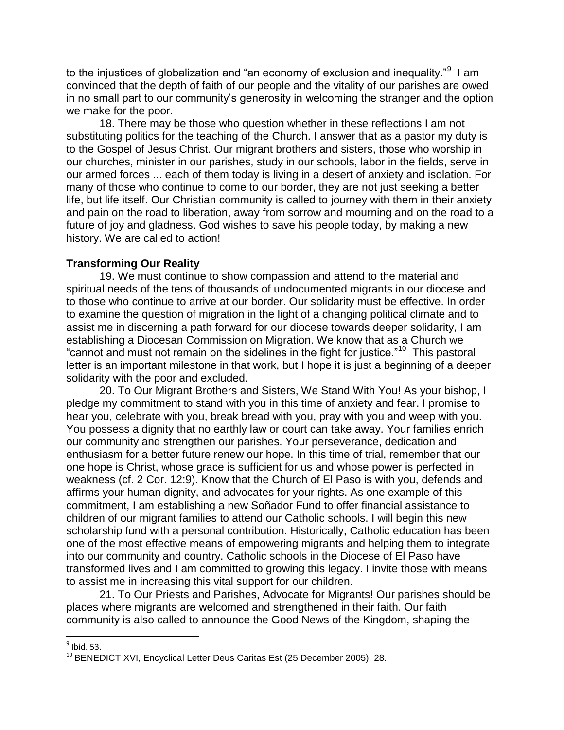to the injustices of globalization and "an economy of exclusion and inequality." $^9\,$  I am convinced that the depth of faith of our people and the vitality of our parishes are owed in no small part to our community's generosity in welcoming the stranger and the option we make for the poor.

18. There may be those who question whether in these reflections I am not substituting politics for the teaching of the Church. I answer that as a pastor my duty is to the Gospel of Jesus Christ. Our migrant brothers and sisters, those who worship in our churches, minister in our parishes, study in our schools, labor in the fields, serve in our armed forces ... each of them today is living in a desert of anxiety and isolation. For many of those who continue to come to our border, they are not just seeking a better life, but life itself. Our Christian community is called to journey with them in their anxiety and pain on the road to liberation, away from sorrow and mourning and on the road to a future of joy and gladness. God wishes to save his people today, by making a new history. We are called to action!

# **Transforming Our Reality**

19. We must continue to show compassion and attend to the material and spiritual needs of the tens of thousands of undocumented migrants in our diocese and to those who continue to arrive at our border. Our solidarity must be effective. In order to examine the question of migration in the light of a changing political climate and to assist me in discerning a path forward for our diocese towards deeper solidarity, I am establishing a Diocesan Commission on Migration. We know that as a Church we "cannot and must not remain on the sidelines in the fight for justice."<sup>10</sup> This pastoral letter is an important milestone in that work, but I hope it is just a beginning of a deeper solidarity with the poor and excluded.

20. To Our Migrant Brothers and Sisters, We Stand With You! As your bishop, I pledge my commitment to stand with you in this time of anxiety and fear. I promise to hear you, celebrate with you, break bread with you, pray with you and weep with you. You possess a dignity that no earthly law or court can take away. Your families enrich our community and strengthen our parishes. Your perseverance, dedication and enthusiasm for a better future renew our hope. In this time of trial, remember that our one hope is Christ, whose grace is sufficient for us and whose power is perfected in weakness (cf. 2 Cor. 12:9). Know that the Church of El Paso is with you, defends and affirms your human dignity, and advocates for your rights. As one example of this commitment, I am establishing a new Soñador Fund to offer financial assistance to children of our migrant families to attend our Catholic schools. I will begin this new scholarship fund with a personal contribution. Historically, Catholic education has been one of the most effective means of empowering migrants and helping them to integrate into our community and country. Catholic schools in the Diocese of El Paso have transformed lives and I am committed to growing this legacy. I invite those with means to assist me in increasing this vital support for our children.

21. To Our Priests and Parishes, Advocate for Migrants! Our parishes should be places where migrants are welcomed and strengthened in their faith. Our faith community is also called to announce the Good News of the Kingdom, shaping the

l

 $<sup>9</sup>$  Ibid. 53.</sup>

<sup>&</sup>lt;sup>10</sup> BENEDICT XVI, Encyclical Letter Deus Caritas Est (25 December 2005), 28.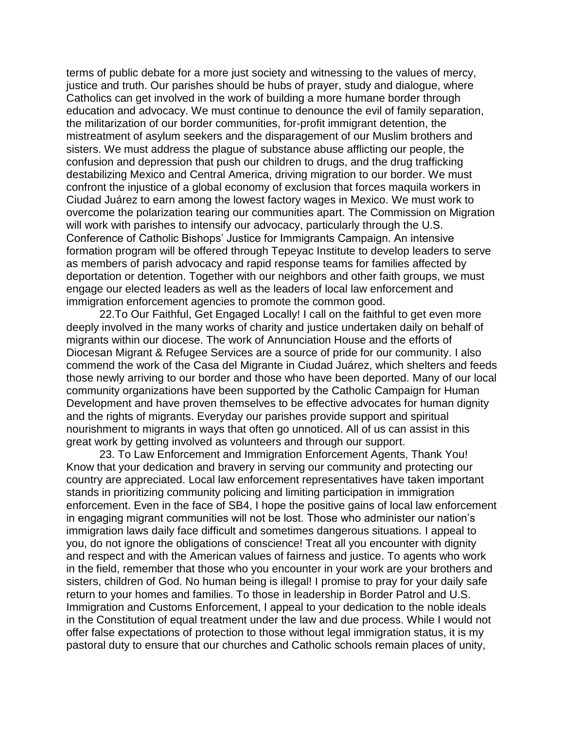terms of public debate for a more just society and witnessing to the values of mercy, justice and truth. Our parishes should be hubs of prayer, study and dialogue, where Catholics can get involved in the work of building a more humane border through education and advocacy. We must continue to denounce the evil of family separation, the militarization of our border communities, for-profit immigrant detention, the mistreatment of asylum seekers and the disparagement of our Muslim brothers and sisters. We must address the plague of substance abuse afflicting our people, the confusion and depression that push our children to drugs, and the drug trafficking destabilizing Mexico and Central America, driving migration to our border. We must confront the injustice of a global economy of exclusion that forces maquila workers in Ciudad Juárez to earn among the lowest factory wages in Mexico. We must work to overcome the polarization tearing our communities apart. The Commission on Migration will work with parishes to intensify our advocacy, particularly through the U.S. Conference of Catholic Bishops' Justice for Immigrants Campaign. An intensive formation program will be offered through Tepeyac Institute to develop leaders to serve as members of parish advocacy and rapid response teams for families affected by deportation or detention. Together with our neighbors and other faith groups, we must engage our elected leaders as well as the leaders of local law enforcement and immigration enforcement agencies to promote the common good.

22.To Our Faithful, Get Engaged Locally! I call on the faithful to get even more deeply involved in the many works of charity and justice undertaken daily on behalf of migrants within our diocese. The work of Annunciation House and the efforts of Diocesan Migrant & Refugee Services are a source of pride for our community. I also commend the work of the Casa del Migrante in Ciudad Juárez, which shelters and feeds those newly arriving to our border and those who have been deported. Many of our local community organizations have been supported by the Catholic Campaign for Human Development and have proven themselves to be effective advocates for human dignity and the rights of migrants. Everyday our parishes provide support and spiritual nourishment to migrants in ways that often go unnoticed. All of us can assist in this great work by getting involved as volunteers and through our support.

23. To Law Enforcement and Immigration Enforcement Agents, Thank You! Know that your dedication and bravery in serving our community and protecting our country are appreciated. Local law enforcement representatives have taken important stands in prioritizing community policing and limiting participation in immigration enforcement. Even in the face of SB4, I hope the positive gains of local law enforcement in engaging migrant communities will not be lost. Those who administer our nation's immigration laws daily face difficult and sometimes dangerous situations. I appeal to you, do not ignore the obligations of conscience! Treat all you encounter with dignity and respect and with the American values of fairness and justice. To agents who work in the field, remember that those who you encounter in your work are your brothers and sisters, children of God. No human being is illegal! I promise to pray for your daily safe return to your homes and families. To those in leadership in Border Patrol and U.S. Immigration and Customs Enforcement, I appeal to your dedication to the noble ideals in the Constitution of equal treatment under the law and due process. While I would not offer false expectations of protection to those without legal immigration status, it is my pastoral duty to ensure that our churches and Catholic schools remain places of unity,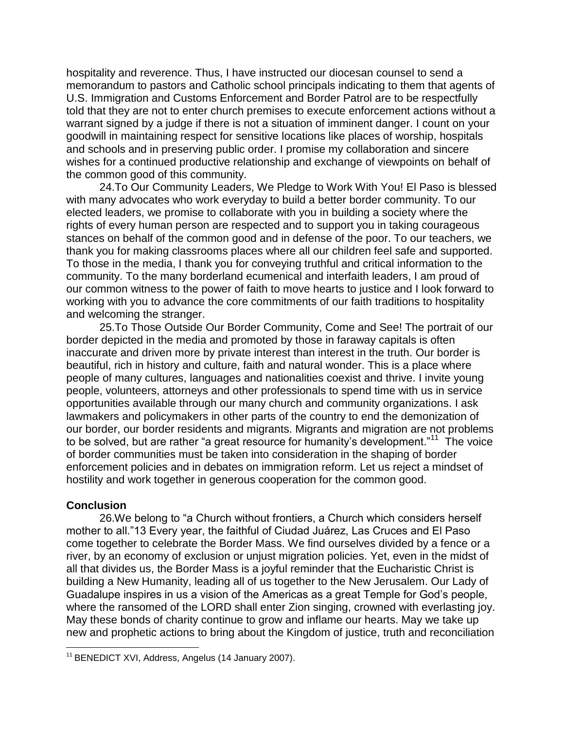hospitality and reverence. Thus, I have instructed our diocesan counsel to send a memorandum to pastors and Catholic school principals indicating to them that agents of U.S. Immigration and Customs Enforcement and Border Patrol are to be respectfully told that they are not to enter church premises to execute enforcement actions without a warrant signed by a judge if there is not a situation of imminent danger. I count on your goodwill in maintaining respect for sensitive locations like places of worship, hospitals and schools and in preserving public order. I promise my collaboration and sincere wishes for a continued productive relationship and exchange of viewpoints on behalf of the common good of this community.

24.To Our Community Leaders, We Pledge to Work With You! El Paso is blessed with many advocates who work everyday to build a better border community. To our elected leaders, we promise to collaborate with you in building a society where the rights of every human person are respected and to support you in taking courageous stances on behalf of the common good and in defense of the poor. To our teachers, we thank you for making classrooms places where all our children feel safe and supported. To those in the media, I thank you for conveying truthful and critical information to the community. To the many borderland ecumenical and interfaith leaders, I am proud of our common witness to the power of faith to move hearts to justice and I look forward to working with you to advance the core commitments of our faith traditions to hospitality and welcoming the stranger.

25.To Those Outside Our Border Community, Come and See! The portrait of our border depicted in the media and promoted by those in faraway capitals is often inaccurate and driven more by private interest than interest in the truth. Our border is beautiful, rich in history and culture, faith and natural wonder. This is a place where people of many cultures, languages and nationalities coexist and thrive. I invite young people, volunteers, attorneys and other professionals to spend time with us in service opportunities available through our many church and community organizations. I ask lawmakers and policymakers in other parts of the country to end the demonization of our border, our border residents and migrants. Migrants and migration are not problems to be solved, but are rather "a great resource for humanity's development."<sup>11</sup> The voice of border communities must be taken into consideration in the shaping of border enforcement policies and in debates on immigration reform. Let us reject a mindset of hostility and work together in generous cooperation for the common good.

### **Conclusion**

 $\overline{\phantom{a}}$ 

26.We belong to "a Church without frontiers, a Church which considers herself mother to all."13 Every year, the faithful of Ciudad Juárez, Las Cruces and El Paso come together to celebrate the Border Mass. We find ourselves divided by a fence or a river, by an economy of exclusion or unjust migration policies. Yet, even in the midst of all that divides us, the Border Mass is a joyful reminder that the Eucharistic Christ is building a New Humanity, leading all of us together to the New Jerusalem. Our Lady of Guadalupe inspires in us a vision of the Americas as a great Temple for God's people, where the ransomed of the LORD shall enter Zion singing, crowned with everlasting joy. May these bonds of charity continue to grow and inflame our hearts. May we take up new and prophetic actions to bring about the Kingdom of justice, truth and reconciliation

 $11$  BENEDICT XVI, Address, Angelus (14 January 2007).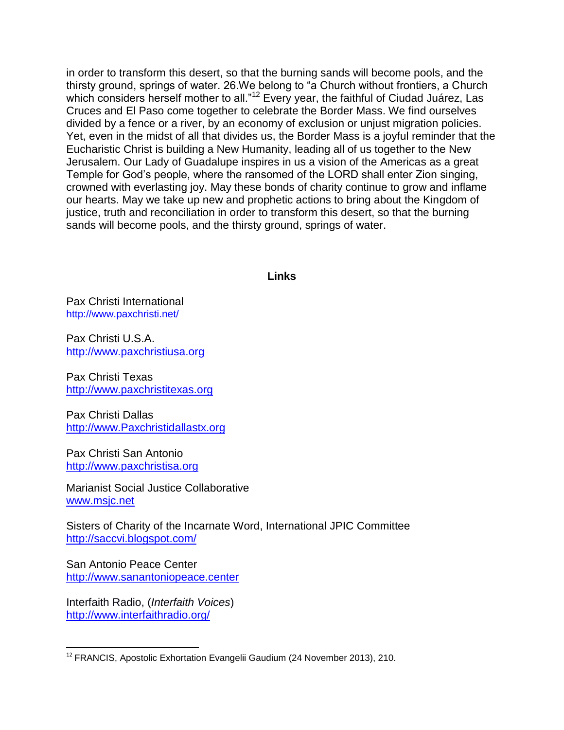in order to transform this desert, so that the burning sands will become pools, and the thirsty ground, springs of water. 26.We belong to "a Church without frontiers, a Church which considers herself mother to all."<sup>12</sup> Every year, the faithful of Ciudad Juárez, Las Cruces and El Paso come together to celebrate the Border Mass. We find ourselves divided by a fence or a river, by an economy of exclusion or unjust migration policies. Yet, even in the midst of all that divides us, the Border Mass is a joyful reminder that the Eucharistic Christ is building a New Humanity, leading all of us together to the New Jerusalem. Our Lady of Guadalupe inspires in us a vision of the Americas as a great Temple for God's people, where the ransomed of the LORD shall enter Zion singing, crowned with everlasting joy. May these bonds of charity continue to grow and inflame our hearts. May we take up new and prophetic actions to bring about the Kingdom of justice, truth and reconciliation in order to transform this desert, so that the burning sands will become pools, and the thirsty ground, springs of water.

### **Links**

Pax Christi International <http://www.paxchristi.net/>

Pax Christi U.S.A. [http://www.paxchristiusa.org](http://www.paxchristiusa.org/)

Pax Christi Texas [http://www.paxchristitexas.org](http://www.paxchristitexas.org/)

Pax Christi Dallas [http://www.Paxchristidallastx.org](http://www.paxchristidallastx.org/)

Pax Christi San Antonio [http://www.paxchristisa.org](http://www.paxchristisa.org/)

Marianist Social Justice Collaborative [www.msjc.net](http://www.msjc.net/)

Sisters of Charity of the Incarnate Word, International JPIC Committee <http://saccvi.blogspot.com/>

San Antonio Peace Center [http://www.sanantoniopeace.center](http://www.sanantoniopeace.center/)

Interfaith Radio, (*Interfaith Voices*) <http://www.interfaithradio.org/>

 $\overline{\phantom{a}}$ <sup>12</sup> FRANCIS, Apostolic Exhortation Evangelii Gaudium (24 November 2013), 210.